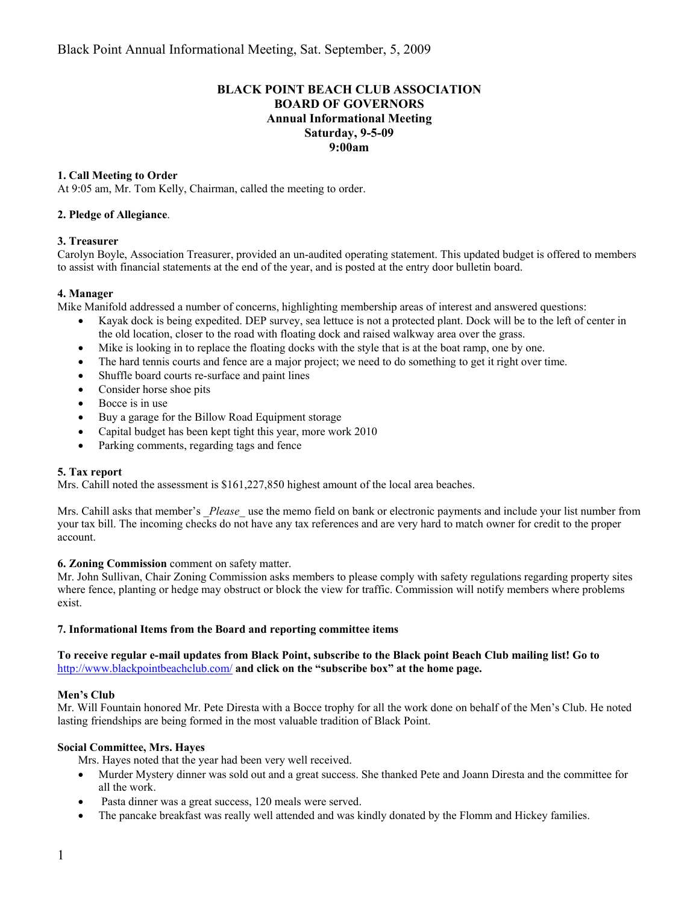# **BLACK POINT BEACH CLUB ASSOCIATION BOARD OF GOVERNORS Annual Informational Meeting Saturday, 9-5-09 9:00am**

# **1. Call Meeting to Order**

At 9:05 am, Mr. Tom Kelly, Chairman, called the meeting to order.

## **2. Pledge of Allegiance**.

## **3. Treasurer**

Carolyn Boyle, Association Treasurer, provided an un-audited operating statement. This updated budget is offered to members to assist with financial statements at the end of the year, and is posted at the entry door bulletin board.

#### **4. Manager**

Mike Manifold addressed a number of concerns, highlighting membership areas of interest and answered questions:

- Kayak dock is being expedited. DEP survey, sea lettuce is not a protected plant. Dock will be to the left of center in the old location, closer to the road with floating dock and raised walkway area over the grass.
- Mike is looking in to replace the floating docks with the style that is at the boat ramp, one by one.
- The hard tennis courts and fence are a major project; we need to do something to get it right over time.
- Shuffle board courts re-surface and paint lines
- Consider horse shoe pits
- Bocce is in use
- Buy a garage for the Billow Road Equipment storage
- Capital budget has been kept tight this year, more work 2010
- Parking comments, regarding tags and fence

#### **5. Tax report**

Mrs. Cahill noted the assessment is \$161,227,850 highest amount of the local area beaches.

Mrs. Cahill asks that member's \_*Please\_* use the memo field on bank or electronic payments and include your list number from your tax bill. The incoming checks do not have any tax references and are very hard to match owner for credit to the proper account.

#### **6. Zoning Commission** comment on safety matter.

Mr. John Sullivan, Chair Zoning Commission asks members to please comply with safety regulations regarding property sites where fence, planting or hedge may obstruct or block the view for traffic. Commission will notify members where problems exist.

#### **7. Informational Items from the Board and reporting committee items**

## **To receive regular e-mail updates from Black Point, subscribe to the Black point Beach Club mailing list! Go to**  http://www.blackpointbeachclub.com/ **and click on the "subscribe box" at the home page.**

#### **Men's Club**

Mr. Will Fountain honored Mr. Pete Diresta with a Bocce trophy for all the work done on behalf of the Men's Club. He noted lasting friendships are being formed in the most valuable tradition of Black Point.

#### **Social Committee, Mrs. Hayes**

Mrs. Hayes noted that the year had been very well received.

- Murder Mystery dinner was sold out and a great success. She thanked Pete and Joann Diresta and the committee for all the work.
- Pasta dinner was a great success, 120 meals were served.
- The pancake breakfast was really well attended and was kindly donated by the Flomm and Hickey families.